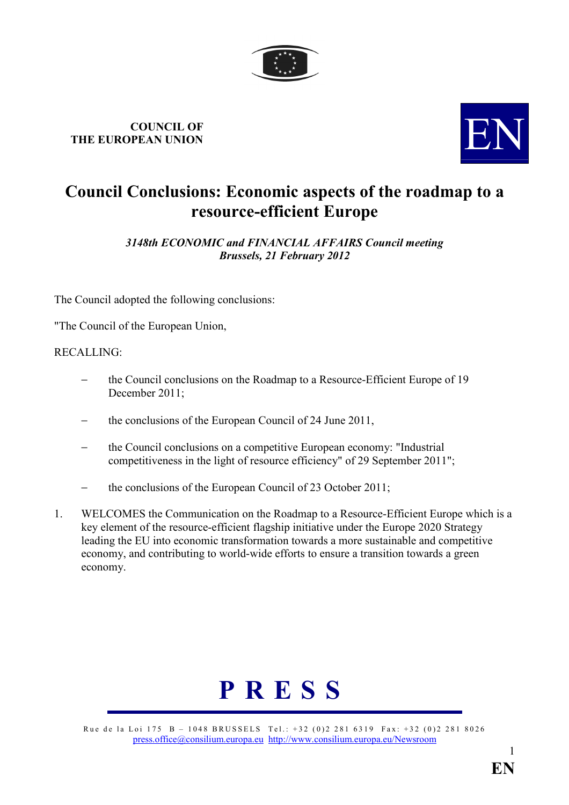

## COUNCIL OF COUNCIL OF THE EUROPEAN UNION



## Council Conclusions: Economic aspects of the roadmap to a resource-efficient Europe

3148th ECONOMIC and FINANCIAL AFFAIRS Council meeting Brussels, 21 February 2012

The Council adopted the following conclusions:

"The Council of the European Union,

## RECALLING:

- − the Council conclusions on the Roadmap to a Resource-Efficient Europe of 19 December 2011;
- the conclusions of the European Council of 24 June 2011,
- − the Council conclusions on a competitive European economy: "Industrial competitiveness in the light of resource efficiency" of 29 September 2011";
- the conclusions of the European Council of 23 October 2011;
- 1. WELCOMES the Communication on the Roadmap to a Resource-Efficient Europe which is a key element of the resource-efficient flagship initiative under the Europe 2020 Strategy leading the EU into economic transformation towards a more sustainable and competitive economy, and contributing to world-wide efforts to ensure a transition towards a green economy.